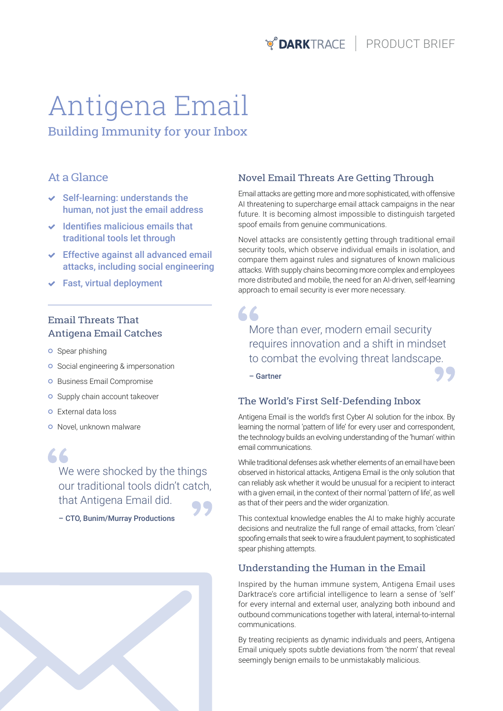**PRODUCT BRIEF** 

# Antigena Email Building Immunity for your Inbox

### At a Glance

- $\vee$  Self-learning: understands the human, not just the email address
- $\vee$  Identifies malicious emails that traditional tools let through
- $\triangleright$  Effective against all advanced email attacks, including social engineering
- $\checkmark$  Fast, virtual deployment

## Email Threats That Antigena Email Catches

- **o** Spear phishing
- **o** Social engineering & impersonation
- **o** Business Email Compromise
- **o** Supply chain account takeover
- **o** External data loss
- **O** Novel, unknown malware

66 We were shocked by the things our traditional tools didn't catch, that Antigena Email did.

– CTO, Bunim/Murray Productions

## Novel Email Threats Are Getting Through

Email attacks are getting more and more sophisticated, with offensive AI threatening to supercharge email attack campaigns in the near future. It is becoming almost impossible to distinguish targeted spoof emails from genuine communications.

Novel attacks are consistently getting through traditional email security tools, which observe individual emails in isolation, and compare them against rules and signatures of known malicious attacks. With supply chains becoming more complex and employees more distributed and mobile, the need for an AI-driven, self-learning approach to email security is ever more necessary.

## 66

More than ever, modern email security requires innovation and a shift in mindset to combat the evolving threat landscape.

– Gartner

#### The World's First Self-Defending Inbox

Antigena Email is the world's first Cyber AI solution for the inbox. By learning the normal 'pattern of life' for every user and correspondent, the technology builds an evolving understanding of the 'human' within email communications.

While traditional defenses ask whether elements of an email have been observed in historical attacks, Antigena Email is the only solution that can reliably ask whether it would be unusual for a recipient to interact with a given email, in the context of their normal 'pattern of life', as well as that of their peers and the wider organization.

This contextual knowledge enables the AI to make highly accurate decisions and neutralize the full range of email attacks, from 'clean' spoofing emails that seek to wire a fraudulent payment, to sophisticated spear phishing attempts.

### Understanding the Human in the Email

Inspired by the human immune system, Antigena Email uses Darktrace's core artificial intelligence to learn a sense of 'self' for every internal and external user, analyzing both inbound and outbound communications together with lateral, internal-to-internal communications.

By treating recipients as dynamic individuals and peers, Antigena Email uniquely spots subtle deviations from 'the norm' that reveal seemingly benign emails to be unmistakably malicious.